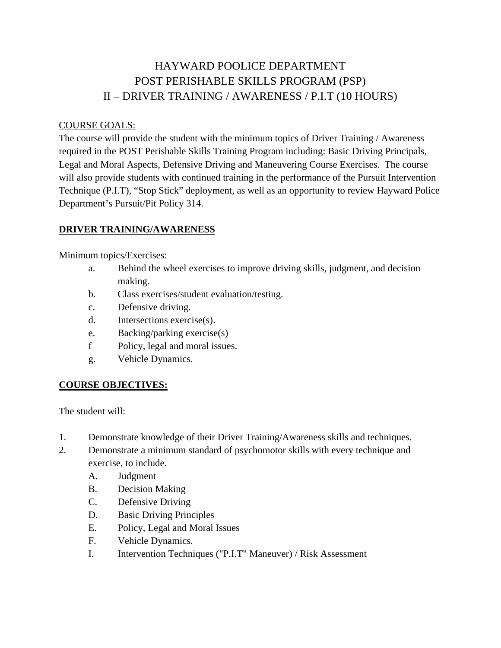# HAYWARD POOLICE DEPARTMENT POST PERISHABLE SKILLS PROGRAM (PSP) II – DRIVER TRAINING / AWARENESS / P.I.T (10 HOURS)

#### COURSE GOALS:

The course will provide the student with the minimum topics of Driver Training / Awareness required in the POST Perishable Skills Training Program including: Basic Driving Principals, Legal and Moral Aspects, Defensive Driving and Maneuvering Course Exercises. The course will also provide students with continued training in the performance of the Pursuit Intervention Technique (P.I.T), "Stop Stick" deployment, as well as an opportunity to review Hayward Police Department's Pursuit/Pit Policy 314.

# **DRIVER TRAINING/AWARENESS**

Minimum topics/Exercises:

- a. Behind the wheel exercises to improve driving skills, judgment, and decision making.
- b. Class exercises/student evaluation/testing.
- c. Defensive driving.
- d. Intersections exercise(s).
- e. Backing/parking exercise(s)
- f Policy, legal and moral issues.
- g. Vehicle Dynamics.

# **COURSE OBJECTIVES:**

The student will:

- 1. Demonstrate knowledge of their Driver Training/Awareness skills and techniques.
- 2. Demonstrate a minimum standard of psychomotor skills with every technique and exercise, to include.
	- A. Judgment
	- B. Decision Making
	- C. Defensive Driving
	- D. Basic Driving Principles
	- E. Policy, Legal and Moral Issues
	- F. Vehicle Dynamics.
	- I. Intervention Techniques ("P.I.T" Maneuver) / Risk Assessment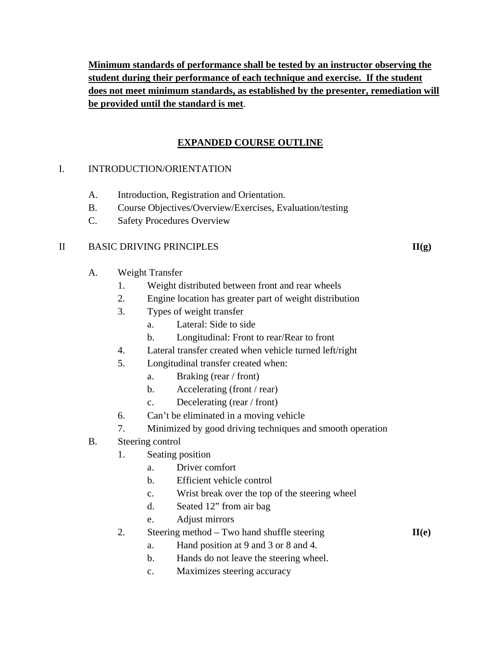**Minimum standards of performance shall be tested by an instructor observing the student during their performance of each technique and exercise. If the student does not meet minimum standards, as established by the presenter, remediation will be provided until the standard is met**.

# **EXPANDED COURSE OUTLINE**

# I. INTRODUCTION/ORIENTATION

- A. Introduction, Registration and Orientation.
- B. Course Objectives/Overview/Exercises, Evaluation/testing
- C. Safety Procedures Overview

# II BASIC DRIVING PRINCIPLES **II(g)**

- A. Weight Transfer
	- 1. Weight distributed between front and rear wheels
	- 2. Engine location has greater part of weight distribution
	- 3. Types of weight transfer
		- a. Lateral: Side to side
		- b. Longitudinal: Front to rear/Rear to front
	- 4. Lateral transfer created when vehicle turned left/right
	- 5. Longitudinal transfer created when:
		- a. Braking (rear / front)
		- b. Accelerating (front / rear)
		- c. Decelerating (rear / front)
	- 6. Can't be eliminated in a moving vehicle
	- 7. Minimized by good driving techniques and smooth operation
- B. Steering control

# 1. Seating position

- a. Driver comfort
- b. Efficient vehicle control
- c. Wrist break over the top of the steering wheel
- d. Seated 12" from air bag
- e. Adjust mirrors
- 2. Steering method Two hand shuffle steering **II**(e)

- a. Hand position at 9 and 3 or 8 and 4.
- b. Hands do not leave the steering wheel.
- c. Maximizes steering accuracy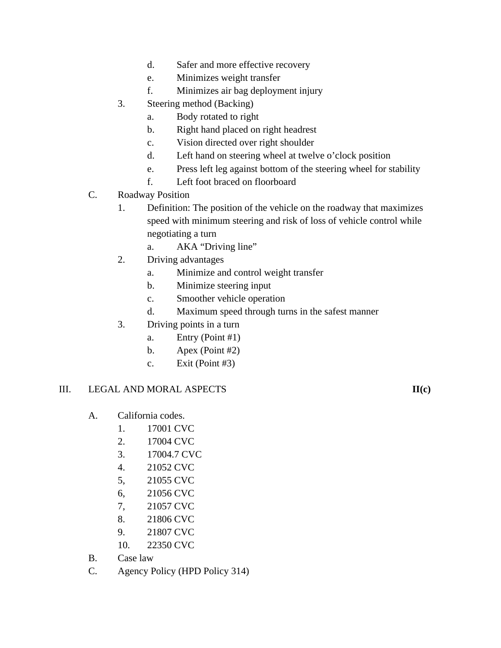- d. Safer and more effective recovery
- e. Minimizes weight transfer
- f. Minimizes air bag deployment injury
- 3. Steering method (Backing)
	- a. Body rotated to right
	- b. Right hand placed on right headrest
	- c. Vision directed over right shoulder
	- d. Left hand on steering wheel at twelve o'clock position
	- e. Press left leg against bottom of the steering wheel for stability
	- f. Left foot braced on floorboard
- C. Roadway Position
	- 1. Definition: The position of the vehicle on the roadway that maximizes speed with minimum steering and risk of loss of vehicle control while negotiating a turn
		- a. AKA "Driving line"
	- 2. Driving advantages
		- a. Minimize and control weight transfer
		- b. Minimize steering input
		- c. Smoother vehicle operation
		- d. Maximum speed through turns in the safest manner
	- 3. Driving points in a turn
		- a. Entry (Point #1)
		- b. Apex (Point #2)
		- c. Exit (Point #3)

# III. LEGAL AND MORAL ASPECTS **II(c)**

- A. California codes.
	- 1. 17001 CVC
	- 2. 17004 CVC
	- 3. 17004.7 CVC
	- 4. 21052 CVC
	- 5, 21055 CVC
	- 6, 21056 CVC
	- 7, 21057 CVC
	- 8. 21806 CVC
	- 9. 21807 CVC
	- 10. 22350 CVC
- B. Case law
- C. Agency Policy (HPD Policy 314)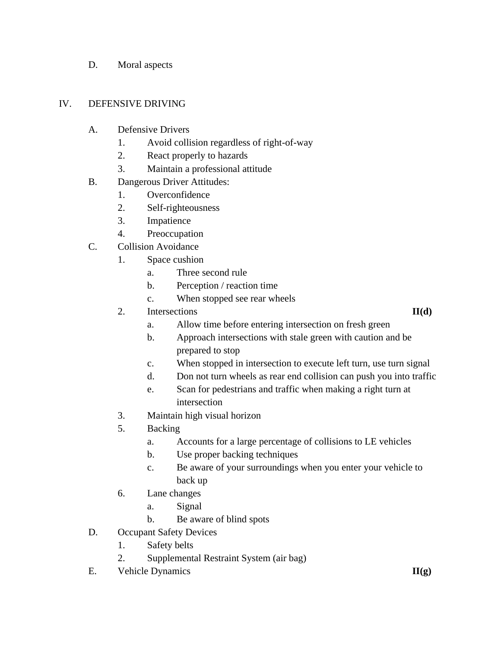D. Moral aspects

# IV. DEFENSIVE DRIVING

- A. Defensive Drivers
	- 1. Avoid collision regardless of right-of-way
	- 2. React properly to hazards
	- 3. Maintain a professional attitude
- B. Dangerous Driver Attitudes:
	- 1. Overconfidence
	- 2. Self-righteousness
	- 3. Impatience
	- 4. Preoccupation
- C. Collision Avoidance
	- 1. Space cushion
		- a. Three second rule
		- b. Perception / reaction time
		- c. When stopped see rear wheels
	- 2. Intersections **II**(d)

- a. Allow time before entering intersection on fresh green
- b. Approach intersections with stale green with caution and be prepared to stop
- c. When stopped in intersection to execute left turn, use turn signal
- d. Don not turn wheels as rear end collision can push you into traffic
- e. Scan for pedestrians and traffic when making a right turn at intersection
- 3. Maintain high visual horizon
- 5. Backing
	- a. Accounts for a large percentage of collisions to LE vehicles
	- b. Use proper backing techniques
	- c. Be aware of your surroundings when you enter your vehicle to back up
- 6. Lane changes
	- a. Signal
	- b. Be aware of blind spots
- D. Occupant Safety Devices
	- 1. Safety belts
	- 2. Supplemental Restraint System (air bag)
- E. Vehicle Dynamics **II(g)**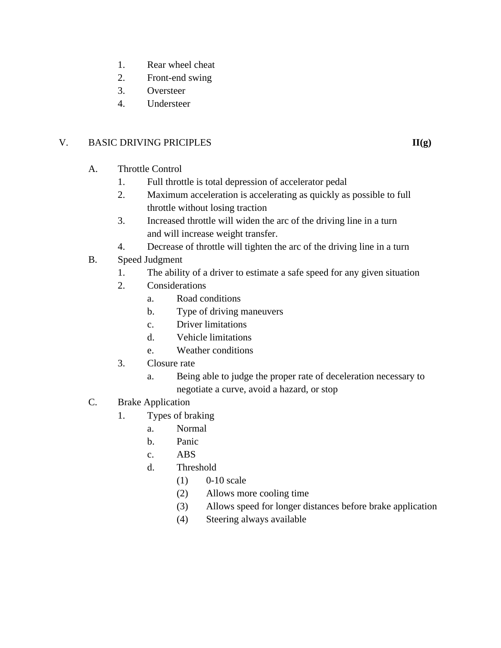- 1. Rear wheel cheat
- 2. Front-end swing
- 3. Oversteer
- 4. Understeer

# V. BASIC DRIVING PRICIPLES **III**(g)

- A. Throttle Control
	- 1. Full throttle is total depression of accelerator pedal
	- 2. Maximum acceleration is accelerating as quickly as possible to full throttle without losing traction
	- 3. Increased throttle will widen the arc of the driving line in a turn and will increase weight transfer.
	- 4. Decrease of throttle will tighten the arc of the driving line in a turn
- B. Speed Judgment
	- 1. The ability of a driver to estimate a safe speed for any given situation
	- 2. Considerations
		- a. Road conditions
		- b. Type of driving maneuvers
		- c. Driver limitations
		- d. Vehicle limitations
		- e. Weather conditions
	- 3. Closure rate
		- a. Being able to judge the proper rate of deceleration necessary to negotiate a curve, avoid a hazard, or stop
- C. Brake Application
	- 1. Types of braking
		- a. Normal
		- b. Panic
		- c. ABS
		- d. Threshold
			- (1) 0-10 scale
			- (2) Allows more cooling time
			- (3) Allows speed for longer distances before brake application
			- (4) Steering always available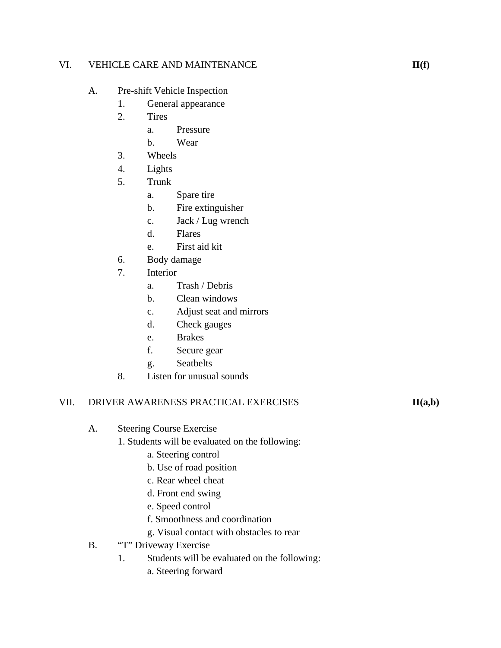# VI. VEHICLE CARE AND MAINTENANCE **III**(f)

- A. Pre-shift Vehicle Inspection
	- 1. General appearance
		- 2. Tires
			- a. Pressure
			- b. Wear
		- 3. Wheels
		- 4. Lights
		- 5. Trunk
			- a. Spare tire
			- b. Fire extinguisher
			- c. Jack / Lug wrench
			- d. Flares
			- e. First aid kit
		- 6. Body damage
		- 7. Interior
			- a. Trash / Debris
			- b. Clean windows
			- c. Adjust seat and mirrors
			- d. Check gauges
			- e. Brakes
			- f. Secure gear
			- g. Seatbelts
		- 8. Listen for unusual sounds

# VII. DRIVER AWARENESS PRACTICAL EXERCISES **II**(a,b)

- A. Steering Course Exercise
	- 1. Students will be evaluated on the following:
		- a. Steering control
		- b. Use of road position
		- c. Rear wheel cheat
		- d. Front end swing
		- e. Speed control
		- f. Smoothness and coordination
		- g. Visual contact with obstacles to rear
- B. "T" Driveway Exercise
	- 1. Students will be evaluated on the following:
		- a. Steering forward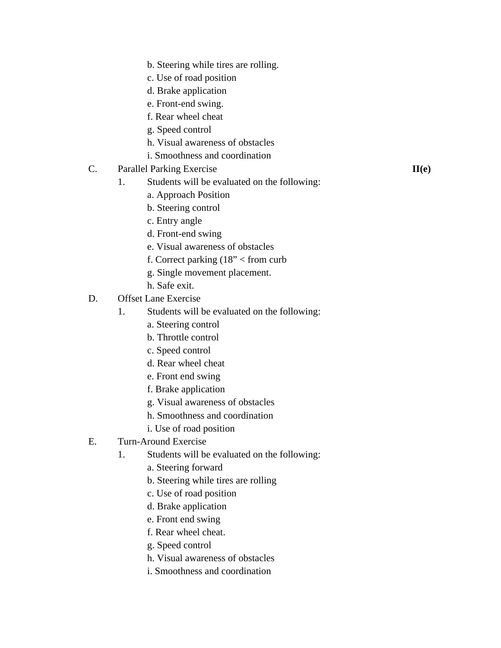- b. Steering while tires are rolling.
- c. Use of road position
- d. Brake application
- e. Front-end swing.
- f. Rear wheel cheat
- g. Speed control
- h. Visual awareness of obstacles
- i. Smoothness and coordination
- C. Parallel Parking Exercise **II(e)**
	- 1. Students will be evaluated on the following:
		- a. Approach Position
		- b. Steering control
		- c. Entry angle
		- d. Front-end swing
		- e. Visual awareness of obstacles
		- f. Correct parking (18" < from curb
		- g. Single movement placement.
		- h. Safe exit.
- D. Offset Lane Exercise
	- 1. Students will be evaluated on the following:
		- a. Steering control
		- b. Throttle control
		- c. Speed control
		- d. Rear wheel cheat
		- e. Front end swing
		- f. Brake application
		- g. Visual awareness of obstacles
		- h. Smoothness and coordination
		- i. Use of road position
- E. Turn-Around Exercise
	- 1. Students will be evaluated on the following:
		- a. Steering forward
		- b. Steering while tires are rolling
		- c. Use of road position
		- d. Brake application
		- e. Front end swing
		- f. Rear wheel cheat.
		- g. Speed control
		- h. Visual awareness of obstacles
		- i. Smoothness and coordination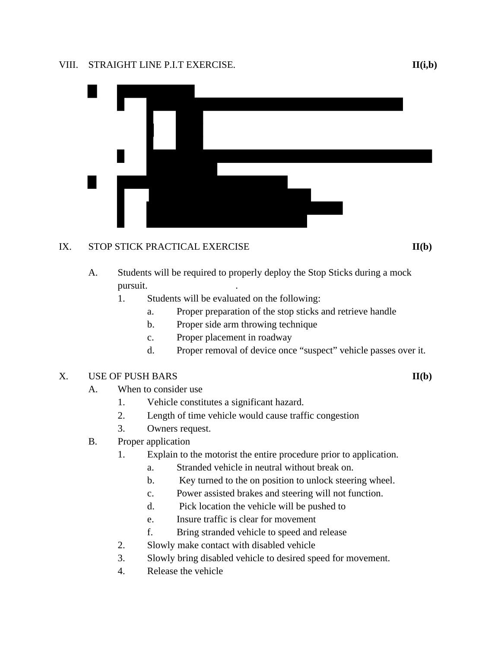#### VIII. STRAIGHT LINE P.I.T EXERCISE. **II(i,b)**



# IX. STOP STICK PRACTICAL EXERCISE **II**(b)

- A. Students will be required to properly deploy the Stop Sticks during a mock pursuit.
	- 1. Students will be evaluated on the following:
		- a. Proper preparation of the stop sticks and retrieve handle
		- b. Proper side arm throwing technique
		- c. Proper placement in roadway
		- d. Proper removal of device once "suspect" vehicle passes over it.

# X. USE OF PUSH BARS **II(b)**

- A. When to consider use
	- 1. Vehicle constitutes a significant hazard.
	- 2. Length of time vehicle would cause traffic congestion
	- 3. Owners request.
- B. Proper application
	- 1. Explain to the motorist the entire procedure prior to application.
		- a. Stranded vehicle in neutral without break on.
		- b. Key turned to the on position to unlock steering wheel.
		- c. Power assisted brakes and steering will not function.
		- d. Pick location the vehicle will be pushed to
		- e. Insure traffic is clear for movement
		- f. Bring stranded vehicle to speed and release
	- 2. Slowly make contact with disabled vehicle
	- 3. Slowly bring disabled vehicle to desired speed for movement.
	- 4. Release the vehicle